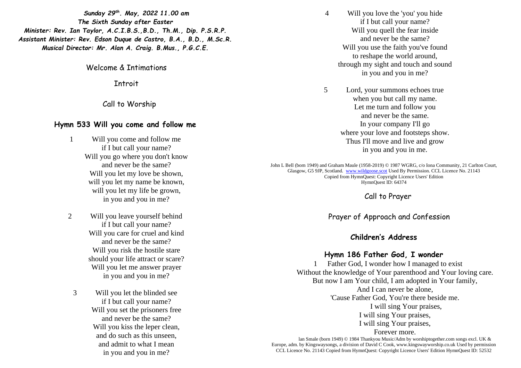*Sunday 29th . May, 2022 11.00 am The Sixth Sunday after Easter Minister: Rev. Ian Taylor, A.C.I.B.S.,B.D., Th.M., Dip. P.S.R.P. Assistant Minister: Rev. Edson Duque de Castro, B.A., B.D., M.Sc.R. Musical Director: Mr. Alan A. Craig. B.Mus., P.G.C.E.*

Welcome & Intimations

Introit

Call to Worship

#### **Hymn 533 Will you come and follow me**

1 Will you come and follow me if I but call your name? Will you go where you don't know and never be the same? Will you let my love be shown, will you let my name be known, will you let my life be grown, in you and you in me?

2 Will you leave yourself behind if I but call your name? Will you care for cruel and kind and never be the same? Will you risk the hostile stare should your life attract or scare? Will you let me answer prayer in you and you in me?

3 Will you let the blinded see if I but call your name? Will you set the prisoners free and never be the same? Will you kiss the leper clean, and do such as this unseen, and admit to what I mean in you and you in me?

4 Will you love the 'you' you hide if I but call your name? Will you quell the fear inside and never be the same? Will you use the faith you've found to reshape the world around, through my sight and touch and sound in you and you in me?

5 Lord, your summons echoes true when you but call my name. Let me turn and follow you and never be the same. In your company I'll go where your love and footsteps show. Thus I'll move and live and grow in you and you in me.

John L Bell (born 1949) and Graham Maule (1958-2019) © 1987 WGRG, c/o Iona Community, 21 Carlton Court, Glasgow, G5 9JP, Scotland. [www.wildgoose.scot](http://www.wildgoose.scot/) Used By Permission. CCL Licence No. 21143 Copied from HymnQuest: Copyright Licence Users' Edition HymnQuest ID: 64374

Call to Prayer

Prayer of Approach and Confession

# **Children's Address**

#### **Hymn 186 Father God, I wonder**

1 Father God, I wonder how I managed to exist Without the knowledge of Your parenthood and Your loving care. But now I am Your child, I am adopted in Your family, And I can never be alone, 'Cause Father God, You're there beside me. I will sing Your praises, I will sing Your praises, I will sing Your praises, Forever more.

lan Smale (born 1949) © 1984 Thankyou Music/Adm by worshiptogether.com songs excl. UK & Europe, adm. by Kingswaysongs, a division of David C Cook, www.kingswayworship.co.uk Used by permission CCL Licence No. 21143 Copied from HymnQuest: Copyright Licence Users' Edition HymnQuest ID: 52532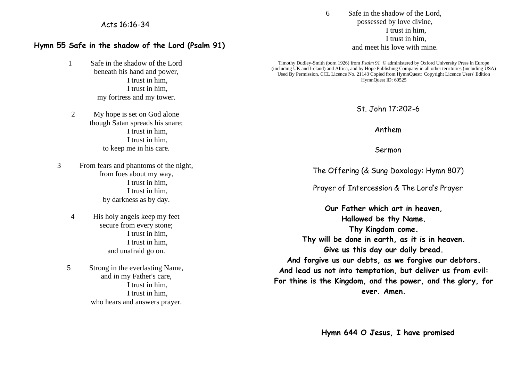6 Safe in the shadow of the Lord, possessed by love divine, I trust in him, I trust in him, and meet his love with mine.

Timothy Dudley-Smith (born 1926) from *Psalm 91* © administered by Oxford University Press in Europe (including UK and Ireland) and Africa, and by Hope Publishing Company in all other territories (including USA) Used By Permission. CCL Licence No. 21143 Copied from HymnQuest: Copyright Licence Users' Edition HymnQuest ID: 60525

St. John 17:202-6

Anthem

Sermon

The Offering (& Sung Doxology: Hymn 807)

Prayer of Intercession & The Lord's Prayer

**Our Father which art in heaven, Hallowed be thy Name. Thy Kingdom come. Thy will be done in earth, as it is in heaven. Give us this day our daily bread. And forgive us our debts, as we forgive our debtors. And lead us not into temptation, but deliver us from evil: For thine is the Kingdom, and the power, and the glory, for ever. Amen.**

**Hymn 644 O Jesus, I have promised**

Acts 16:16-34

### **Hymn 55 Safe in the shadow of the Lord (Psalm 91)**

1 Safe in the shadow of the Lord beneath his hand and power, I trust in him, I trust in him, my fortress and my tower.

2 My hope is set on God alone though Satan spreads his snare; I trust in him, I trust in him, to keep me in his care.

3 From fears and phantoms of the night, from foes about my way, I trust in him, I trust in him, by darkness as by day.

4 His holy angels keep my feet secure from every stone; I trust in him, I trust in him, and unafraid go on.

5 Strong in the everlasting Name, and in my Father's care, I trust in him, I trust in him, who hears and answers prayer.